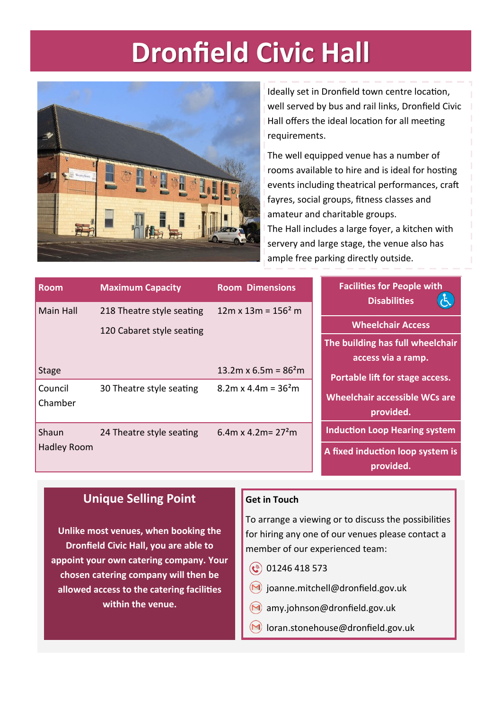### **Dronfield Civic Hall**



Ideally set in Dronfield town centre location, well served by bus and rail links, Dronfield Civic Hall offers the ideal location for all meeting requirements.

The well equipped venue has a number of rooms available to hire and is ideal for hosting events including theatrical performances, craft fayres, social groups, fitness classes and amateur and charitable groups. The Hall includes a large foyer, a kitchen with servery and large stage, the venue also has ample free parking directly outside.

| <b>Room</b>        | <b>Maximum Capacity</b>   | <b>Room Dimensions</b>     | <b>Facilities for People with</b><br><b>Disabilities</b> |
|--------------------|---------------------------|----------------------------|----------------------------------------------------------|
| Main Hall          | 218 Theatre style seating | $12m \times 13m = 156^2 m$ |                                                          |
|                    | 120 Cabaret style seating |                            | <b>Wheelchair Access</b>                                 |
|                    |                           |                            | The building has full wheelchair                         |
|                    |                           |                            | access via a ramp.                                       |
| <b>Stage</b>       |                           | 13.2m x 6.5m = $862$ m     | Portable lift for stage access.                          |
| Council            | 30 Theatre style seating  | $8.2m \times 4.4m = 362m$  |                                                          |
| Chamber            |                           |                            | <b>Wheelchair accessible WCs are</b>                     |
|                    |                           |                            | provided.                                                |
| Shaun              | 24 Theatre style seating  | 6.4m x 4.2m = $272$ m      | <b>Induction Loop Hearing system</b>                     |
| <b>Hadley Room</b> |                           |                            | A fixed induction loop system is<br>provided.            |

### **Unique Selling Point**

**Get in Touch**

To arrange a viewing or to discuss the possibilities for hiring any one of our venues please contact a member of our experienced team:

- $\circled{0}$  01246 418 573
- $(M)$  joanne.mitchell@dronfield.gov.uk
- $(M)$  amy.johnson@dronfield.gov.uk
- $(M)$  loran.stonehouse@dronfield.gov.uk

**Unlike most venues, when booking the Dronfield Civic Hall, you are able to appoint your own catering company. Your chosen catering company will then be allowed access to the catering facilities within the venue.**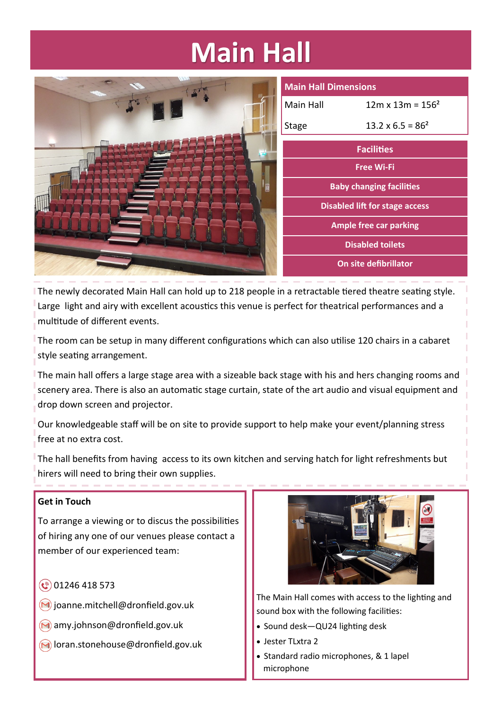## **Main Hall**

| <b>Main Hall Dimensions</b> |                                       |
|-----------------------------|---------------------------------------|
| Main Hall                   | $12m \times 13m = 156^2$              |
| Stage                       | $13.2 \times 6.5 = 86^2$              |
| <b>Facilities</b>           |                                       |
| <b>Free Wi-Fi</b>           |                                       |
|                             | <b>Baby changing facilities</b>       |
|                             | <b>Disabled lift for stage access</b> |
|                             | <b>Ample free car parking</b>         |
|                             | <b>Disabled toilets</b>               |
|                             | On site defibrillator                 |

The newly decorated Main Hall can hold up to 218 people in a retractable tiered theatre seating style. Large light and airy with excellent acoustics this venue is perfect for theatrical performances and a multitude of different events.

The room can be setup in many different configurations which can also utilise 120 chairs in a cabaret style seating arrangement.

The main hall offers a large stage area with a sizeable back stage with his and hers changing rooms and scenery area. There is also an automatic stage curtain, state of the art audio and visual equipment and drop down screen and projector.

Our knowledgeable staff will be on site to provide support to help make your event/planning stress free at no extra cost.

The hall benefits from having access to its own kitchen and serving hatch for light refreshments but hirers will need to bring their own supplies.

#### **Get in Touch**

To arrange a viewing or to discus the possibilities of hiring any one of our venues please contact a member of our experienced team:

- $\circ$  01246 418 573
- $\bigcirc$  joanne.mitchell@dronfield.gov.uk
- amy.johnson@dronfield.gov.uk
- $\bigcirc$  loran.stonehouse@dronfield.gov.uk



The Main Hall comes with access to the lighting and sound box with the following facilities:

- Sound desk—QU24 lighting desk
- Jester TLxtra 2
- Standard radio microphones, & 1 lapel microphone